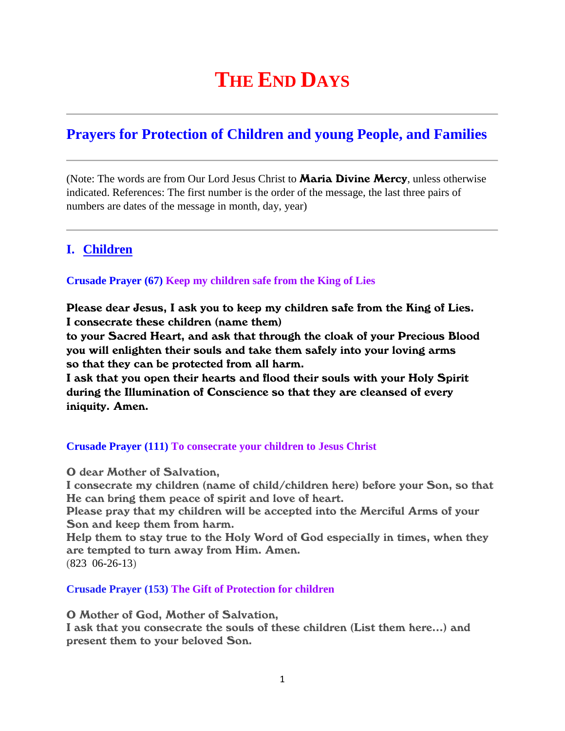# **THE END DAYS**

## **Prayers for Protection of Children and young People, and Families**

(Note: The words are from Our Lord Jesus Christ to **Maria Divine Mercy**, unless otherwise indicated. References: The first number is the order of the message, the last three pairs of numbers are dates of the message in month, day, year)

## **I. Children**

#### **Crusade Prayer (67) Keep my children safe from the King of Lies**

Please dear Jesus, I ask you to keep my children safe from the King of Lies. I consecrate these children (name them)

to your Sacred Heart, and ask that through the cloak of your Precious Blood you will enlighten their souls and take them safely into your loving arms so that they can be protected from all harm.

I ask that you open their hearts and flood their souls with your Holy Spirit during the Illumination of Conscience so that they are cleansed of every iniquity. Amen.

## **Crusade Prayer (111) To consecrate your children to Jesus Christ**

O dear Mother of Salvation,

I consecrate my children (name of child/children here) before your Son, so that He can bring them peace of spirit and love of heart.

Please pray that my children will be accepted into the Merciful Arms of your Son and keep them from harm.

Help them to stay true to the Holy Word of God especially in times, when they are tempted to turn away from Him. Amen. (823 06-26-13)

#### **Crusade Prayer (153) The Gift of Protection for children**

O Mother of God, Mother of Salvation,

I ask that you consecrate the souls of these children (List them here…) and present them to your beloved Son.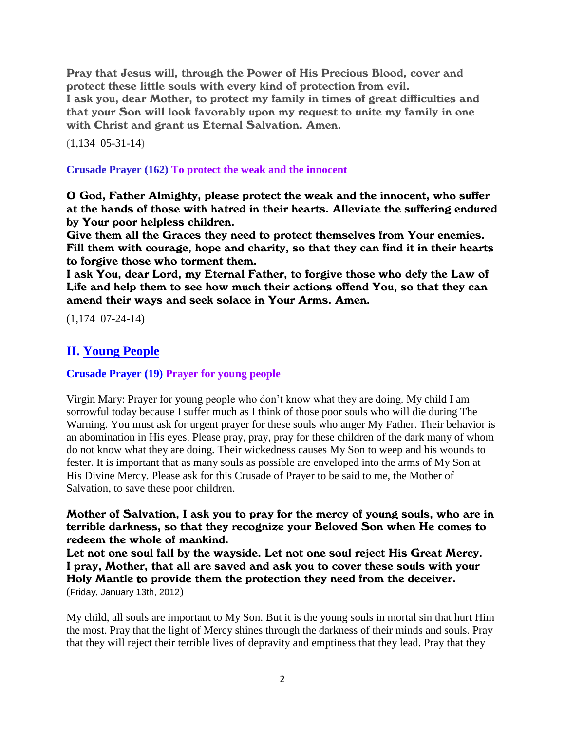Pray that Jesus will, through the Power of His Precious Blood, cover and protect these little souls with every kind of protection from evil. I ask you, dear Mother, to protect my family in times of great difficulties and that your Son will look favorably upon my request to unite my family in one with Christ and grant us Eternal Salvation. Amen.

(1,134 05-31-14)

**Crusade Prayer (162) To protect the weak and the innocent**

O God, Father Almighty, please protect the weak and the innocent, who suffer at the hands of those with hatred in their hearts. Alleviate the suffering endured by Your poor helpless children.

Give them all the Graces they need to protect themselves from Your enemies. Fill them with courage, hope and charity, so that they can find it in their hearts to forgive those who torment them.

I ask You, dear Lord, my Eternal Father, to forgive those who defy the Law of Life and help them to see how much their actions offend You, so that they can amend their ways and seek solace in Your Arms. Amen.

(1,174 07-24-14)

## **II. Young People**

**Crusade Prayer (19) Prayer for young people** 

Virgin Mary: Prayer for young people who don't know what they are doing. My child I am sorrowful today because I suffer much as I think of those poor souls who will die during The Warning. You must ask for urgent prayer for these souls who anger My Father. Their behavior is an abomination in His eyes. Please pray, pray, pray for these children of the dark many of whom do not know what they are doing. Their wickedness causes My Son to weep and his wounds to fester. It is important that as many souls as possible are enveloped into the arms of My Son at His Divine Mercy. Please ask for this Crusade of Prayer to be said to me, the Mother of Salvation, to save these poor children.

Mother of Salvation, I ask you to pray for the mercy of young souls, who are in terrible darkness, so that they recognize your Beloved Son when He comes to redeem the whole of mankind.

Let not one soul fall by the wayside. Let not one soul reject His Great Mercy. I pray, Mother, that all are saved and ask you to cover these souls with your Holy Mantle to provide them the protection they need from the deceiver. (Friday, January 13th, 2012)

My child, all souls are important to My Son. But it is the young souls in mortal sin that hurt Him the most. Pray that the light of Mercy shines through the darkness of their minds and souls. Pray that they will reject their terrible lives of depravity and emptiness that they lead. Pray that they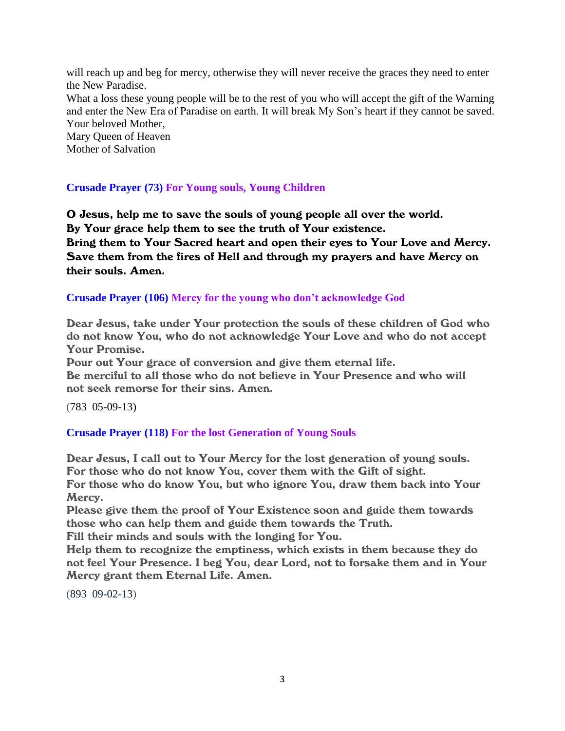will reach up and beg for mercy, otherwise they will never receive the graces they need to enter the New Paradise. What a loss these young people will be to the rest of you who will accept the gift of the Warning and enter the New Era of Paradise on earth. It will break My Son's heart if they cannot be saved. Your beloved Mother, Mary Queen of Heaven Mother of Salvation

## **Crusade Prayer (73) For Young souls, Young Children**

O Jesus, help me to save the souls of young people all over the world. By Your grace help them to see the truth of Your existence. Bring them to Your Sacred heart and open their eyes to Your Love and Mercy. Save them from the fires of Hell and through my prayers and have Mercy on their souls. Amen.

#### **Crusade Prayer (106) Mercy for the young who don't acknowledge God**

Dear Jesus, take under Your protection the souls of these children of God who do not know You, who do not acknowledge Your Love and who do not accept Your Promise.

Pour out Your grace of conversion and give them eternal life. Be merciful to all those who do not believe in Your Presence and who will not seek remorse for their sins. Amen.

(783 05-09-13)

## **Crusade Prayer (118) For the lost Generation of Young Souls**

Dear Jesus, I call out to Your Mercy for the lost generation of young souls. For those who do not know You, cover them with the Gift of sight. For those who do know You, but who ignore You, draw them back into Your Mercy.

Please give them the proof of Your Existence soon and guide them towards those who can help them and guide them towards the Truth.

Fill their minds and souls with the longing for You.

Help them to recognize the emptiness, which exists in them because they do not feel Your Presence. I beg You, dear Lord, not to forsake them and in Your Mercy grant them Eternal Life. Amen.

(893 09-02-13)